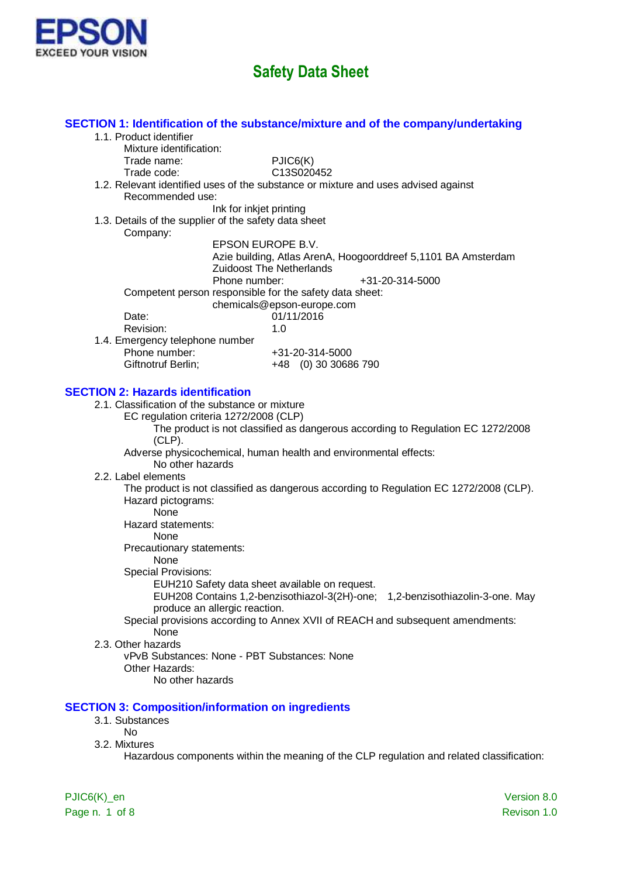

| SECTION 1: Identification of the substance/mixture and of the company/undertaking     |                                                                                           |
|---------------------------------------------------------------------------------------|-------------------------------------------------------------------------------------------|
| 1.1. Product identifier                                                               |                                                                                           |
| Mixture identification:                                                               |                                                                                           |
| PJIC6(K)<br>Trade name:                                                               |                                                                                           |
| C13S020452<br>Trade code:                                                             |                                                                                           |
| 1.2. Relevant identified uses of the substance or mixture and uses advised against    |                                                                                           |
| Recommended use:                                                                      |                                                                                           |
| Ink for inkjet printing                                                               |                                                                                           |
| 1.3. Details of the supplier of the safety data sheet                                 |                                                                                           |
| Company:                                                                              |                                                                                           |
| EPSON EUROPE B.V.                                                                     |                                                                                           |
|                                                                                       | Azie building, Atlas ArenA, Hoogoorddreef 5,1101 BA Amsterdam                             |
| <b>Zuidoost The Netherlands</b><br>Phone number:                                      |                                                                                           |
|                                                                                       | +31-20-314-5000                                                                           |
| Competent person responsible for the safety data sheet:<br>chemicals@epson-europe.com |                                                                                           |
| Date:<br>01/11/2016                                                                   |                                                                                           |
| Revision:<br>1.0                                                                      |                                                                                           |
| 1.4. Emergency telephone number                                                       |                                                                                           |
| Phone number:<br>+31-20-314-5000                                                      |                                                                                           |
| Giftnotruf Berlin;                                                                    | +48 (0) 30 30686 790                                                                      |
|                                                                                       |                                                                                           |
| <b>SECTION 2: Hazards identification</b>                                              |                                                                                           |
| 2.1. Classification of the substance or mixture                                       |                                                                                           |
| EC regulation criteria 1272/2008 (CLP)                                                |                                                                                           |
|                                                                                       | The product is not classified as dangerous according to Regulation EC 1272/2008           |
| $(CLP)$ .                                                                             |                                                                                           |
| Adverse physicochemical, human health and environmental effects:<br>No other hazards  |                                                                                           |
| 2.2. Label elements                                                                   |                                                                                           |
|                                                                                       | The product is not classified as dangerous according to Regulation EC 1272/2008 (CLP).    |
| Hazard pictograms:                                                                    |                                                                                           |
| None                                                                                  |                                                                                           |
| Hazard statements:                                                                    |                                                                                           |
| None                                                                                  |                                                                                           |
| Precautionary statements:                                                             |                                                                                           |
| None                                                                                  |                                                                                           |
| <b>Special Provisions:</b>                                                            |                                                                                           |
| EUH210 Safety data sheet available on request.                                        |                                                                                           |
| EUH208 Contains 1,2-benzisothiazol-3(2H)-one;                                         | 1,2-benzisothiazolin-3-one. May                                                           |
| produce an allergic reaction.                                                         |                                                                                           |
|                                                                                       | Special provisions according to Annex XVII of REACH and subsequent amendments:            |
| None                                                                                  |                                                                                           |
| 2.3. Other hazards                                                                    |                                                                                           |
| vPvB Substances: None - PBT Substances: None                                          |                                                                                           |
| Other Hazards:                                                                        |                                                                                           |
| No other hazards                                                                      |                                                                                           |
|                                                                                       |                                                                                           |
| <b>SECTION 3: Composition/information on ingredients</b>                              |                                                                                           |
| 3.1. Substances                                                                       |                                                                                           |
| <b>No</b>                                                                             |                                                                                           |
| 3.2. Mixtures                                                                         |                                                                                           |
|                                                                                       | Hazardous components within the meaning of the CLP regulation and related classification: |
|                                                                                       |                                                                                           |
|                                                                                       |                                                                                           |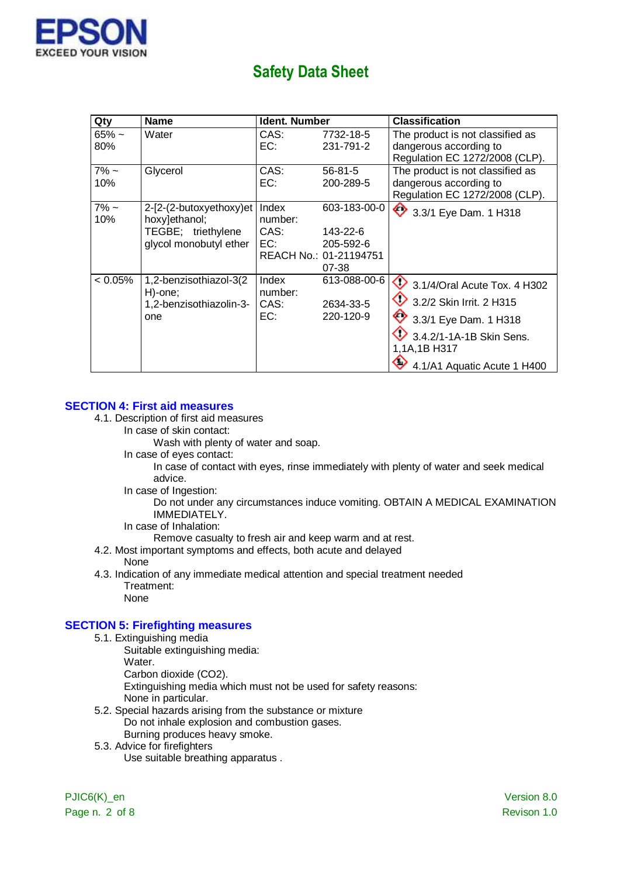

| Qty            | <b>Name</b>                                                                              | Ident. Number                   |                                                                          | <b>Classification</b>                                                                                                                                                   |
|----------------|------------------------------------------------------------------------------------------|---------------------------------|--------------------------------------------------------------------------|-------------------------------------------------------------------------------------------------------------------------------------------------------------------------|
| $65%$ ~<br>80% | Water                                                                                    | CAS:<br>EC:                     | 7732-18-5<br>231-791-2                                                   | The product is not classified as<br>dangerous according to<br>Regulation EC 1272/2008 (CLP).                                                                            |
| $7\%$ ~<br>10% | Glycerol                                                                                 | CAS:<br>EC:                     | $56 - 81 - 5$<br>200-289-5                                               | The product is not classified as<br>dangerous according to<br>Regulation EC 1272/2008 (CLP).                                                                            |
| $7\%$ ~<br>10% | 2-[2-(2-butoxyethoxy)et<br>hoxy]ethanol;<br>TEGBE; triethylene<br>glycol monobutyl ether | Index<br>number:<br>CAS:<br>EC: | 603-183-00-0<br>143-22-6<br>205-592-6<br>REACH No.: 01-21194751<br>07-38 | 3.3/1 Eye Dam. 1 H318                                                                                                                                                   |
| $< 0.05\%$     | 1,2-benzisothiazol-3(2<br>H)-one:<br>1,2-benzisothiazolin-3-<br>one                      | Index<br>number:<br>CAS:<br>EC: | 613-088-00-6<br>2634-33-5<br>220-120-9                                   | $\bigcirc$ 3.1/4/Oral Acute Tox. 4 H302<br>3.2/2 Skin Irrit. 2 H315<br>3.3/1 Eye Dam. 1 H318<br>3.4.2/1-1A-1B Skin Sens.<br>1,1A,1B H317<br>4.1/A1 Aquatic Acute 1 H400 |

#### **SECTION 4: First aid measures**

- 4.1. Description of first aid measures
	- In case of skin contact:

Wash with plenty of water and soap.

In case of eyes contact:

In case of contact with eyes, rinse immediately with plenty of water and seek medical advice.

In case of Ingestion:

Do not under any circumstances induce vomiting. OBTAIN A MEDICAL EXAMINATION IMMEDIATELY.

In case of Inhalation:

Remove casualty to fresh air and keep warm and at rest.

4.2. Most important symptoms and effects, both acute and delayed

### None

- 4.3. Indication of any immediate medical attention and special treatment needed Treatment:
	- None

### **SECTION 5: Firefighting measures**

- 5.1. Extinguishing media
	- Suitable extinguishing media: Water. Carbon dioxide (CO2). Extinguishing media which must not be used for safety reasons: None in particular.
- 5.2. Special hazards arising from the substance or mixture Do not inhale explosion and combustion gases. Burning produces heavy smoke.
- 5.3. Advice for firefighters

Use suitable breathing apparatus .

Page n. 2 of 8 Revison 1.0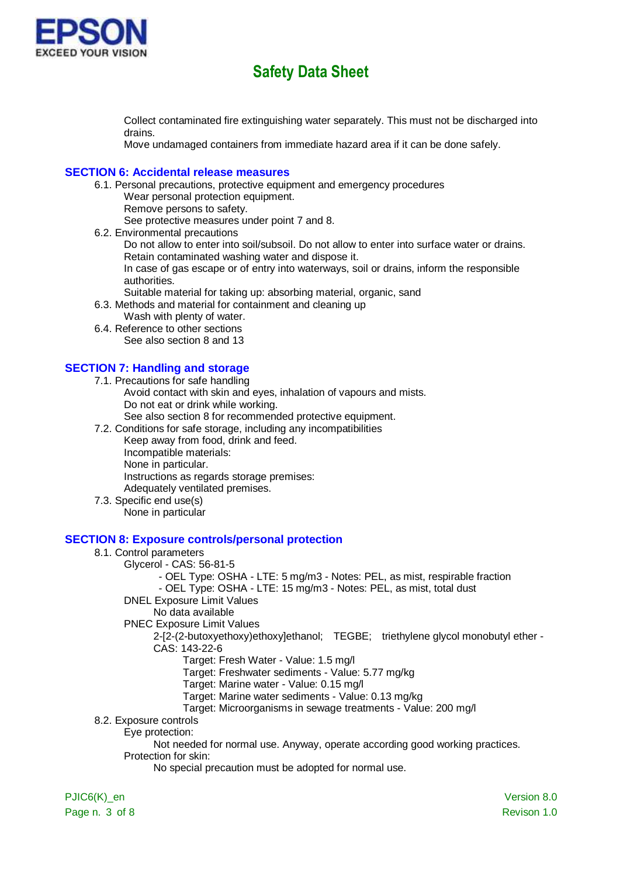

Collect contaminated fire extinguishing water separately. This must not be discharged into drains.

Move undamaged containers from immediate hazard area if it can be done safely.

#### **SECTION 6: Accidental release measures**

- 6.1. Personal precautions, protective equipment and emergency procedures
	- Wear personal protection equipment.
	- Remove persons to safety.

See protective measures under point 7 and 8.

- 6.2. Environmental precautions
	- Do not allow to enter into soil/subsoil. Do not allow to enter into surface water or drains. Retain contaminated washing water and dispose it.

In case of gas escape or of entry into waterways, soil or drains, inform the responsible authorities.

- Suitable material for taking up: absorbing material, organic, sand
- 6.3. Methods and material for containment and cleaning up
	- Wash with plenty of water.
- 6.4. Reference to other sections See also section 8 and 13

### **SECTION 7: Handling and storage**

- 7.1. Precautions for safe handling
	- Avoid contact with skin and eyes, inhalation of vapours and mists. Do not eat or drink while working.
		- See also section 8 for recommended protective equipment.
- 7.2. Conditions for safe storage, including any incompatibilities
	- Keep away from food, drink and feed. Incompatible materials: None in particular. Instructions as regards storage premises: Adequately ventilated premises.
- 7.3. Specific end use(s) None in particular

#### **SECTION 8: Exposure controls/personal protection**

#### 8.1. Control parameters

- Glycerol CAS: 56-81-5
	- OEL Type: OSHA LTE: 5 mg/m3 Notes: PEL, as mist, respirable fraction
	- OEL Type: OSHA LTE: 15 mg/m3 Notes: PEL, as mist, total dust
- DNEL Exposure Limit Values
	- No data available
- PNEC Exposure Limit Values
	- 2-[2-(2-butoxyethoxy)ethoxy]ethanol; TEGBE; triethylene glycol monobutyl ether CAS: 143-22-6
		- Target: Fresh Water Value: 1.5 mg/l
		- Target: Freshwater sediments Value: 5.77 mg/kg
		- Target: Marine water Value: 0.15 mg/l
		- Target: Marine water sediments Value: 0.13 mg/kg
		- Target: Microorganisms in sewage treatments Value: 200 mg/l
- 8.2. Exposure controls
	- Eye protection:
		- Not needed for normal use. Anyway, operate according good working practices. Protection for skin:
			- No special precaution must be adopted for normal use.

PJIC6(K) en Version 8.0 Page n. 3 of 8 Revison 1.0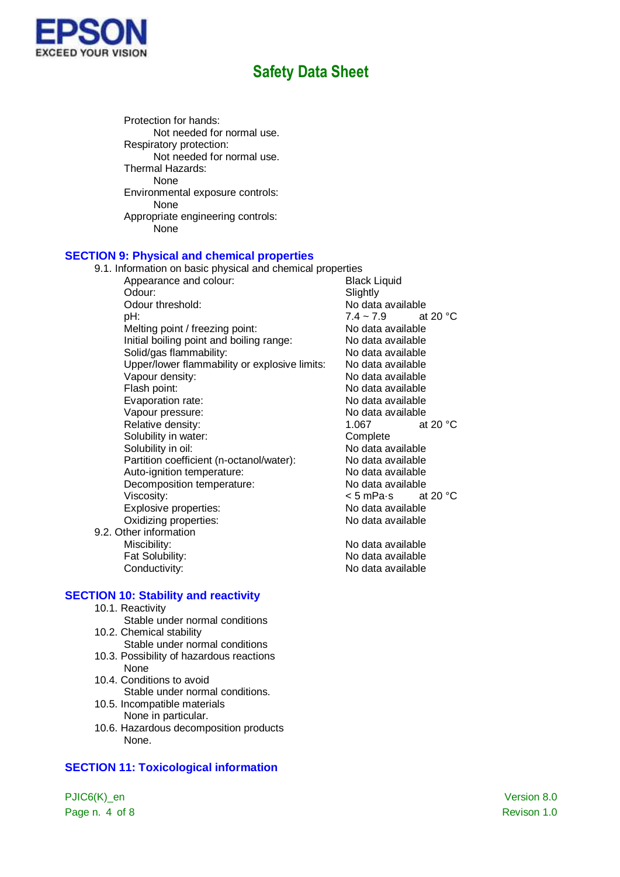

Protection for hands: Not needed for normal use. Respiratory protection: Not needed for normal use. Thermal Hazards: None Environmental exposure controls: None Appropriate engineering controls: None

### **SECTION 9: Physical and chemical properties**

| 9.1. Information on basic physical and chemical properties |                                  |
|------------------------------------------------------------|----------------------------------|
| Appearance and colour:                                     | <b>Black Liquid</b>              |
| Odour:                                                     | Slightly                         |
| Odour threshold:                                           | No data available                |
| pH:                                                        | $7.4 - 7.9$<br>at 20 $\degree$ C |
| Melting point / freezing point:                            | No data available                |
| Initial boiling point and boiling range:                   | No data available                |
| Solid/gas flammability:                                    | No data available                |
| Upper/lower flammability or explosive limits:              | No data available                |
| Vapour density:                                            | No data available                |
| Flash point:                                               | No data available                |
| Evaporation rate:                                          | No data available                |
| Vapour pressure:                                           | No data available                |
| Relative density:                                          | at 20 $\degree$ C<br>1.067       |
| Solubility in water:                                       | Complete                         |
| Solubility in oil:                                         | No data available                |
| Partition coefficient (n-octanol/water):                   | No data available                |
| Auto-ignition temperature:                                 | No data available                |
| Decomposition temperature:                                 | No data available                |
| Viscosity:                                                 | < 5 mPa∙s<br>at 20 $\degree$ C   |
| Explosive properties:                                      | No data available                |
| Oxidizing properties:                                      | No data available                |
| 9.2. Other information                                     |                                  |
| Miscibility:                                               | No data available                |
| Fat Solubility:                                            | No data available                |

Conductivity: Conductivity: No data available

**SECTION 10: Stability and reactivity**

- 10.1. Reactivity
- Stable under normal conditions 10.2. Chemical stability
- Stable under normal conditions
- 10.3. Possibility of hazardous reactions None
- 10.4. Conditions to avoid Stable under normal conditions.
- 10.5. Incompatible materials None in particular.
- 10.6. Hazardous decomposition products None.

### **SECTION 11: Toxicological information**

PJIC6(K)\_en Version 8.0 Page n. 4 of 8 Revison 1.0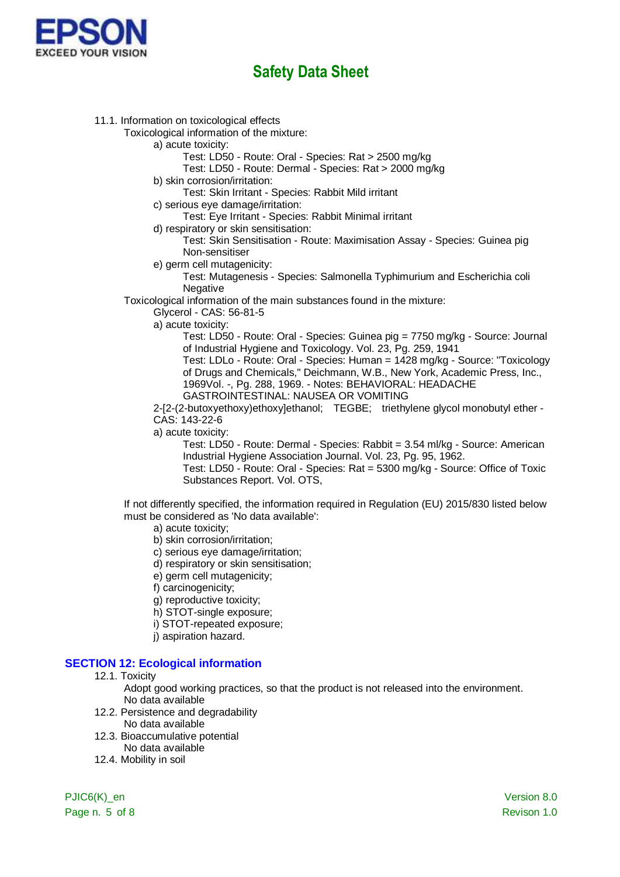

11.1. Information on toxicological effects

Toxicological information of the mixture:

- a) acute toxicity:
	- Test: LD50 Route: Oral Species: Rat > 2500 mg/kg

Test: LD50 - Route: Dermal - Species: Rat > 2000 mg/kg

- b) skin corrosion/irritation:
	- Test: Skin Irritant Species: Rabbit Mild irritant
- c) serious eye damage/irritation:
	- Test: Eye Irritant Species: Rabbit Minimal irritant
- d) respiratory or skin sensitisation:

Test: Skin Sensitisation - Route: Maximisation Assay - Species: Guinea pig Non-sensitiser

e) germ cell mutagenicity:

Test: Mutagenesis - Species: Salmonella Typhimurium and Escherichia coli **Negative** 

Toxicological information of the main substances found in the mixture:

Glycerol - CAS: 56-81-5

a) acute toxicity:

Test: LD50 - Route: Oral - Species: Guinea pig = 7750 mg/kg - Source: Journal of Industrial Hygiene and Toxicology. Vol. 23, Pg. 259, 1941

Test: LDLo - Route: Oral - Species: Human = 1428 mg/kg - Source: "Toxicology of Drugs and Chemicals," Deichmann, W.B., New York, Academic Press, Inc., 1969Vol. -, Pg. 288, 1969. - Notes: BEHAVIORAL: HEADACHE GASTROINTESTINAL: NAUSEA OR VOMITING

2-[2-(2-butoxyethoxy)ethoxy]ethanol; TEGBE; triethylene glycol monobutyl ether - CAS: 143-22-6

a) acute toxicity:

Test: LD50 - Route: Dermal - Species: Rabbit = 3.54 ml/kg - Source: American Industrial Hygiene Association Journal. Vol. 23, Pg. 95, 1962.

Test: LD50 - Route: Oral - Species: Rat = 5300 mg/kg - Source: Office of Toxic Substances Report. Vol. OTS,

If not differently specified, the information required in Regulation (EU) 2015/830 listed below must be considered as 'No data available':

- a) acute toxicity;
- b) skin corrosion/irritation;
- c) serious eye damage/irritation;
- d) respiratory or skin sensitisation;
- e) germ cell mutagenicity;
- f) carcinogenicity;
- g) reproductive toxicity;
- h) STOT-single exposure;
- i) STOT-repeated exposure;
- j) aspiration hazard.

### **SECTION 12: Ecological information**

- 12.1. Toxicity
	- Adopt good working practices, so that the product is not released into the environment. No data available
- 12.2. Persistence and degradability No data available
- 12.3. Bioaccumulative potential
	- No data available
- 12.4. Mobility in soil

Page n. 5 of 8 Revison 1.0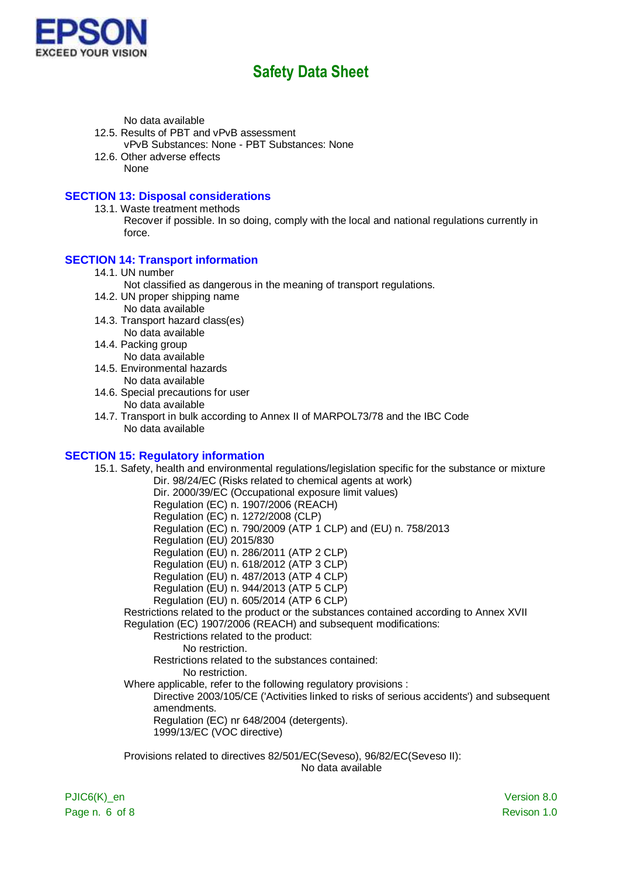

No data available

- 12.5. Results of PBT and vPvB assessment vPvB Substances: None - PBT Substances: None
- 12.6. Other adverse effects None

#### **SECTION 13: Disposal considerations**

13.1. Waste treatment methods Recover if possible. In so doing, comply with the local and national regulations currently in force.

#### **SECTION 14: Transport information**

- 14.1. UN number
	- Not classified as dangerous in the meaning of transport regulations.
- 14.2. UN proper shipping name No data available
- 14.3. Transport hazard class(es) No data available
- 14.4. Packing group

No data available

- 14.5. Environmental hazards No data available
- 14.6. Special precautions for user

No data available

14.7. Transport in bulk according to Annex II of MARPOL73/78 and the IBC Code No data available

#### **SECTION 15: Regulatory information**

15.1. Safety, health and environmental regulations/legislation specific for the substance or mixture Dir. 98/24/EC (Risks related to chemical agents at work) Dir. 2000/39/EC (Occupational exposure limit values) Regulation (EC) n. 1907/2006 (REACH) Regulation (EC) n. 1272/2008 (CLP) Regulation (EC) n. 790/2009 (ATP 1 CLP) and (EU) n. 758/2013 Regulation (EU) 2015/830 Regulation (EU) n. 286/2011 (ATP 2 CLP) Regulation (EU) n. 618/2012 (ATP 3 CLP) Regulation (EU) n. 487/2013 (ATP 4 CLP) Regulation (EU) n. 944/2013 (ATP 5 CLP) Regulation (EU) n. 605/2014 (ATP 6 CLP) Restrictions related to the product or the substances contained according to Annex XVII Regulation (EC) 1907/2006 (REACH) and subsequent modifications: Restrictions related to the product: No restriction. Restrictions related to the substances contained: No restriction. Where applicable, refer to the following regulatory provisions : Directive 2003/105/CE ('Activities linked to risks of serious accidents') and subsequent amendments. Regulation (EC) nr 648/2004 (detergents). 1999/13/EC (VOC directive) Provisions related to directives 82/501/EC(Seveso), 96/82/EC(Seveso II):

No data available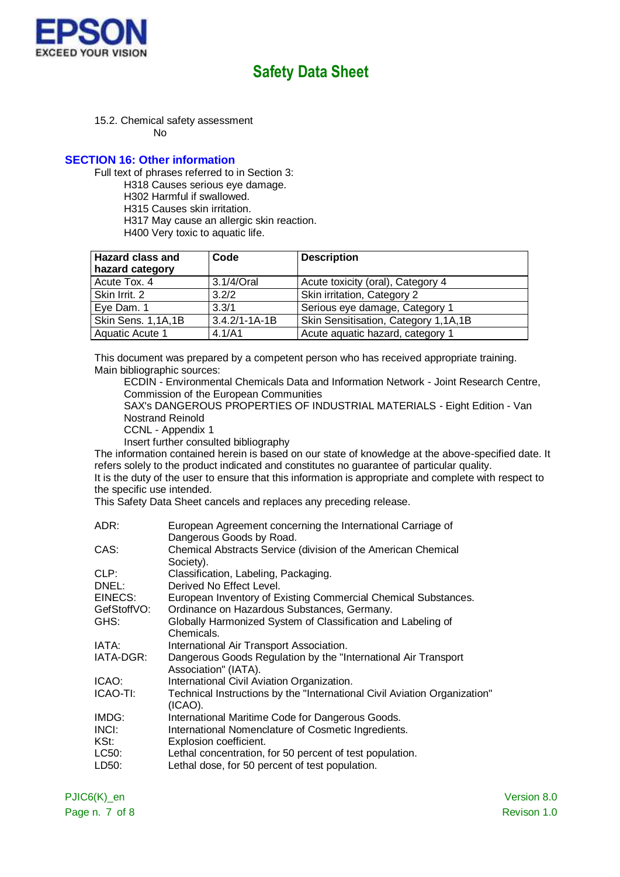

15.2. Chemical safety assessment

No

#### **SECTION 16: Other information**

Full text of phrases referred to in Section 3:

H318 Causes serious eye damage.

- H302 Harmful if swallowed.
- H315 Causes skin irritation.
- H317 May cause an allergic skin reaction.
- H400 Very toxic to aquatic life.

| <b>Hazard class and</b><br>hazard category | Code                | <b>Description</b>                   |
|--------------------------------------------|---------------------|--------------------------------------|
| Acute Tox. 4                               | 3.1/4/Oral          | Acute toxicity (oral), Category 4    |
| Skin Irrit. 2                              | 3.2/2               | Skin irritation, Category 2          |
| Eye Dam. 1                                 | 3.3/1               | Serious eye damage, Category 1       |
| Skin Sens. 1,1A,1B                         | $3.4.2/1 - 1A - 1B$ | Skin Sensitisation, Category 1,1A,1B |
| Aquatic Acute 1                            | 4.1/A1              | Acute aquatic hazard, category 1     |

This document was prepared by a competent person who has received appropriate training. Main bibliographic sources:

ECDIN - Environmental Chemicals Data and Information Network - Joint Research Centre, Commission of the European Communities

SAX's DANGEROUS PROPERTIES OF INDUSTRIAL MATERIALS - Eight Edition - Van Nostrand Reinold

CCNL - Appendix 1

Insert further consulted bibliography

The information contained herein is based on our state of knowledge at the above-specified date. It refers solely to the product indicated and constitutes no guarantee of particular quality.

It is the duty of the user to ensure that this information is appropriate and complete with respect to the specific use intended.

This Safety Data Sheet cancels and replaces any preceding release.

| ADR:        | European Agreement concerning the International Carriage of               |
|-------------|---------------------------------------------------------------------------|
|             | Dangerous Goods by Road.                                                  |
| CAS:        | Chemical Abstracts Service (division of the American Chemical             |
|             | Society).                                                                 |
| CLP:        | Classification, Labeling, Packaging.                                      |
| DNEL:       | Derived No Effect Level.                                                  |
| EINECS:     | European Inventory of Existing Commercial Chemical Substances.            |
| GefStoffVO: | Ordinance on Hazardous Substances, Germany.                               |
| GHS:        | Globally Harmonized System of Classification and Labeling of              |
|             | Chemicals.                                                                |
| IATA:       | International Air Transport Association.                                  |
| IATA-DGR:   | Dangerous Goods Regulation by the "International Air Transport"           |
|             | Association" (IATA).                                                      |
| ICAO:       | International Civil Aviation Organization.                                |
| ICAO-TI:    | Technical Instructions by the "International Civil Aviation Organization" |
|             | (ICAO).                                                                   |
| IMDG:       | International Maritime Code for Dangerous Goods.                          |
| INCI:       | International Nomenclature of Cosmetic Ingredients.                       |
| KSt:        | Explosion coefficient.                                                    |
| LC50:       | Lethal concentration, for 50 percent of test population.                  |
| LD50:       | Lethal dose, for 50 percent of test population.                           |
|             |                                                                           |